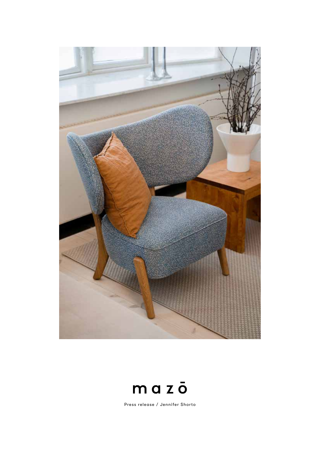



Press release / Jennifer Shorto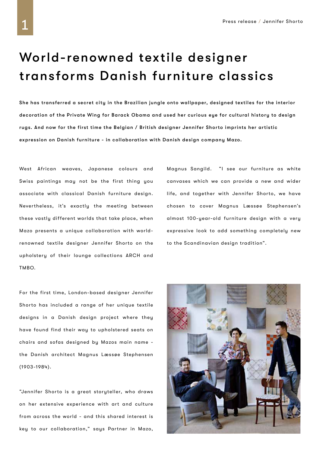# World-renowned textile designer transforms Danish furniture classics

She has transferred a secret city in the Brazilian jungle onto wallpaper, designed textiles for the interior decoration of the Private Wing for Barack Obama and used her curious eye for cultural history to design rugs. And now for the first time the Belgian / British designer Jennifer Shorto imprints her artistic expression on Danish furniture - in collaboration with Danish design company Mazo.

West African weaves, Japanese colours and Swiss paintings may not be the first thing you associate with classical Danish furniture design. Nevertheless, it's exactly the meeting between these vastly different worlds that take place, when Mazo presents a unique collaboration with worldrenowned textile designer Jennifer Shorto on the upholstery of their lounge collections ARCH and TMBO.

For the first time, London-based designer Jennifer Shorto has included a range of her unique textile designs in a Danish design project where they have found find their way to upholstered seats on chairs and sofas designed by Mazos main name the Danish architect Magnus Læssøe Stephensen (1903-1984).

"Jennifer Shorto is a great storyteller, who draws on her extensive experience with art and culture from across the world - and this shared interest is key to our collaboration," says Partner in Mazo, Magnus Sangild. "I see our furniture as white canvases which we can provide a new and wider life, and together with Jennifer Shorto, we have chosen to cover Magnus Læssøe Stephensen's almost 100-year-old furniture design with a very expressive look to add something completely new to the Scandinavian design tradition".

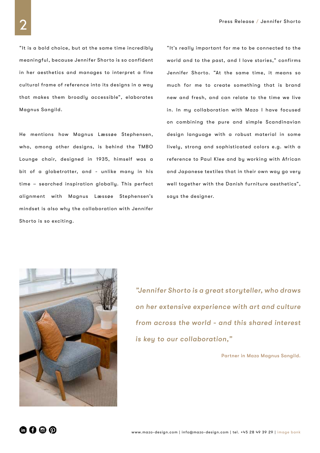"It is a bold choice, but at the same time incredibly meaningful, because Jennifer Shorto is so confident in her aesthetics and manages to interpret a fine cultural frame of reference into its designs in a way that makes them broadly accessible", elaborates Magnus Sangild.

He mentions how Magnus Læssøe Stephensen, who, among other designs, is behind the TMBO Lounge chair, designed in 1935, himself was a bit of a globetrotter, and - unlike many in his time – searched inspiration globally. This perfect alignment with Magnus Læssøe Stephensen's mindset is also why the collaboration with Jennifer Shorto is so exciting.

"It's really important for me to be connected to the world and to the past, and I love stories," confirms Jennifer Shorto. "At the same time, it means so much for me to create something that is brand new and fresh, and can relate to the time we live in. In my collaboration with Mazo I have focused on combining the pure and simple Scandinavian design language with a robust material in some lively, strong and sophisticated colors e.g. with a reference to Paul Klee and by working with African and Japanese textiles that in their own way go very well together with the Danish furniture aesthetics", says the designer.



*"Jennifer Shorto is a great storyteller, who draws on her extensive experience with art and culture from across the world - and this shared interest is key to our collaboration,"*

Partner in Mazo Magnus Sangild.